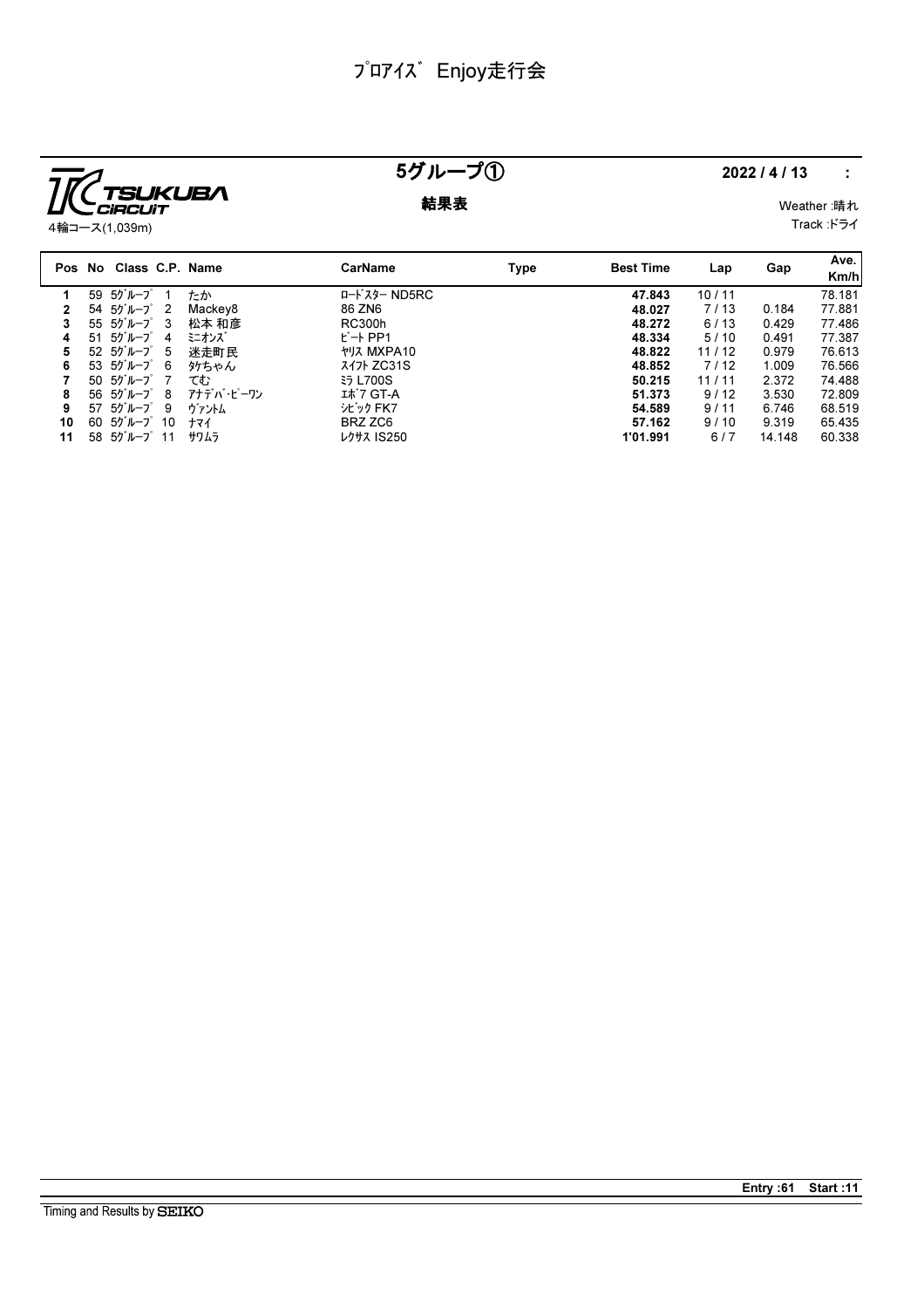

## 5グループ① 2022/4/13 :

**結果表** Weather :晴れ Track :ドライ

|    | Pos No Class C.P. Name                                    |           | <b>CarName</b>    | Type | <b>Best Time</b> | Lap   | Gap    | Ave.<br>Km/h |
|----|-----------------------------------------------------------|-----------|-------------------|------|------------------|-------|--------|--------------|
|    | 59 5ゲループ                                                  | たか        | ロードスター ND5RC      |      | 47.843           | 10/11 |        | 78.181       |
|    | 54 5グループ<br>$\overline{2}$                                | Mackey8   | 86 ZN6            |      | 48.027           | 7/13  | 0.184  | 77.881       |
| 3  | $55.50$ <sup>"</sup> $\nu$ <sup>--</sup> 2 <sup>"</sup> 3 | 松本 和彦     | RC300h            |      | 48.272           | 6/13  | 0.429  | 77.486       |
| 4  | 51 5グループ<br>-4                                            | ミニオンズ     | $E - F$ PP1       |      | 48.334           | 5/10  | 0.491  | 77.387       |
| 5  | $52\,50^{\circ}\,h^{-1}\,5$                               | 迷走町民      | <b>ヤリス MXPA10</b> |      | 48.822           | 11/12 | 0.979  | 76.613       |
| 6  | 53 $55^{\circ}$ $\mu$ - $7^{\circ}$ 6                     | タケちゃん     | $717$ ZC31S       |      | 48.852           | 7/12  | 1.009  | 76.566       |
|    | $50.50$ $\mu$ - $7.7$                                     | てむ        | <b>ξ5 L700S</b>   |      | 50.215           | 11/11 | 2.372  | 74.488       |
| 8  | 56 $55^{\circ}$ $\mu$ - $7^{\circ}$ 8                     | アナデバ・ピーワン | エポ7 GT-A          |      | 51.373           | 9/12  | 3.530  | 72.809       |
| 9  | $57, 50^{\circ}$ $\mu$ $-7^{\circ}$ 9                     | ヴァントム     | シビック FK7          |      | 54.589           | 9/11  | 6.746  | 68.519       |
| 10 | $60$ $55$ <sup>'</sup> $\nu$ - $7$ <sup>'</sup> $10$      | ナマイ       | BRZ ZC6           |      | 57.162           | 9/10  | 9.319  | 65.435       |
| 11 | $58$ $55$ <sup>'</sup> $\nu$ $-7$ <sup>°</sup> 11         | サワムラ      | レクサス IS250        |      | 1'01.991         | 6/7   | 14.148 | 60.338       |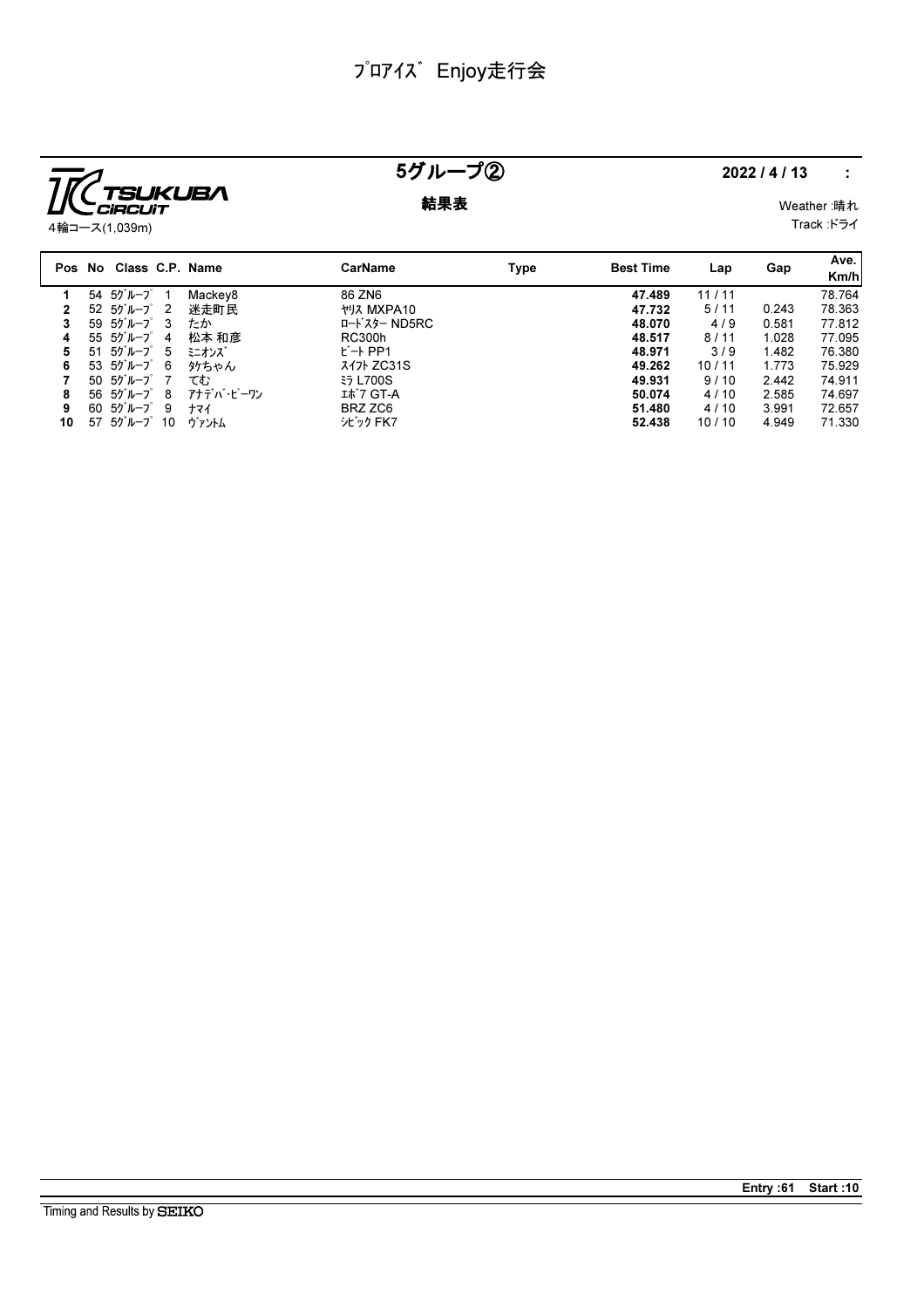

## 5グループ② 2022/4/13 :

**結果表** Weather :晴れ Track :ドライ

4輪コース(1,039m)

|    | Pos No Class C.P. Name                                   |           | <b>CarName</b>           | Type | <b>Best Time</b> | Lap   | Gap   | Ave.<br>Km/h |
|----|----------------------------------------------------------|-----------|--------------------------|------|------------------|-------|-------|--------------|
|    | $54.50$ <sup>"</sup> $\nu$ -7 $\degree$ 1                | Mackey8   | 86 ZN6                   |      | 47.489           | 11/11 |       | 78.764       |
|    | $52 \t50^{\circ}$ $\nu$ - $7^{\circ}$ 2                  | 迷走町民      | <b><i>ት</i>リス MXPA10</b> |      | 47.732           | 5/11  | 0.243 | 78.363       |
| 3  | $59.50 \text{ }\nu - 7^\circ$ 3                          | たか        | ロードスター ND5RC             |      | 48.070           | 4/9   | 0.581 | 77.812       |
| 4  | $55 50^{\circ}$ $\mu$ $-2^{\circ} 4$                     | 松本 和彦     | <b>RC300h</b>            |      | 48.517           | 8/11  | 1.028 | 77.095       |
| 5  | $51 \t57''$                                              | ミニオンズ     | $E - F$ PP1              |      | 48.971           | 3/9   | 1.482 | 76.380       |
| 6  | 53 5ゲループ 6                                               | 外ちゃん      | <i>ス</i> イフト ZC31S       |      | 49.262           | 10/11 | 1.773 | 75.929       |
|    | $50.50$ <sup>'</sup> $\nu$ <sup>-</sup> 7 <sup>°</sup> 7 | てむ        | <b>ξ5 L700S</b>          |      | 49.931           | 9/10  | 2.442 | 74.911       |
| 8  | 56 5ゲループ 8                                               | アナデバ・ピーワン | エボ7 GT-A                 |      | 50.074           | 4/10  | 2.585 | 74.697       |
| 9  | 60 5グループ 9                                               | ナマイ       | BRZ ZC6                  |      | 51.480           | 4/10  | 3.991 | 72.657       |
| 10 | $57$ $55$ <sup>'</sup> $\mu$ $-7$ <sup>°</sup> 10        | ヴァントム     | シビック FK7                 |      | 52.438           | 10/10 | 4.949 | 71.330       |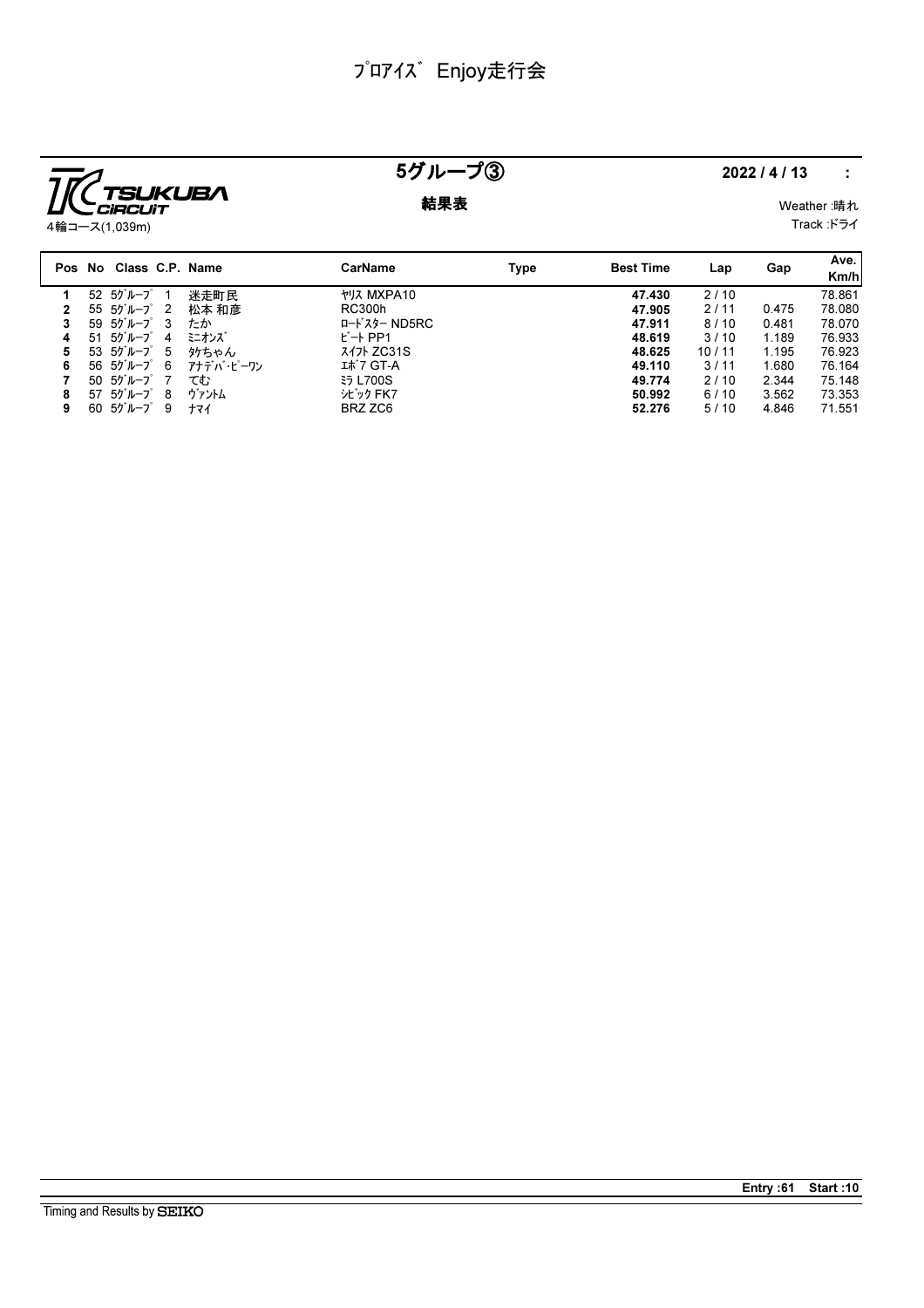

# 5グループ③ 2022/4/13 :

### **結果表** Weather :晴れ

Track :ドライ

|   | Pos No Class C.P. Name                 |           | CarName                  | Type | <b>Best Time</b> | Lap   | Gap   | Ave.<br>Km/h |
|---|----------------------------------------|-----------|--------------------------|------|------------------|-------|-------|--------------|
|   | 52 5グループ                               | 迷走町民      | <b><i>ት</i>リス MXPA10</b> |      | 47.430           | 2/10  |       | 78.861       |
|   | 55 5ゲループ<br>$\overline{\phantom{0}}^2$ | 松本 和彦     | RC300h                   |      | 47.905           | 2/11  | 0.475 | 78.080       |
|   | 59 $50^{\circ}$ $\mu$ $-7^{\circ}$ 3   | たか        | ロードスター ND5RC             |      | 47.911           | 8/10  | 0.481 | 78.070       |
| 4 | 51 5グループ<br>4                          | ミニオンズ     | $E - F$ PP1              |      | 48.619           | 3/10  | 1.189 | 76.933       |
| 5 | 53 5ゲループ<br>5                          | 外ちゃん      | <i>ス</i> イフト ZC31S       |      | 48.625           | 10/11 | 1.195 | 76.923       |
| 6 | 56 5ゲループ 6                             | アナデバ・ピーワン | エボ7 GT-A                 |      | 49.110           | 3/11  | 1.680 | 76.164       |
|   | 50 5ゲループ                               | てむ        | <b>ξ5 L700S</b>          |      | 49.774           | 2/10  | 2.344 | 75.148       |
| 8 | 57 5グループ<br>- 8                        | ヴァントム     | シビック FK7                 |      | 50.992           | 6/10  | 3.562 | 73.353       |
| 9 | 60 5グループ<br>9                          | ナマイ       | BRZ ZC6                  |      | 52.276           | 5/10  | 4.846 | 71.551       |